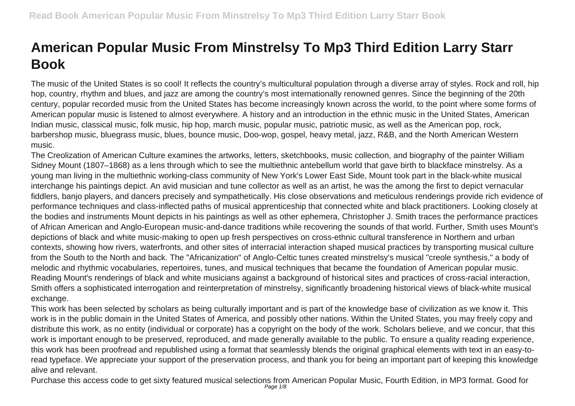## **American Popular Music From Minstrelsy To Mp3 Third Edition Larry Starr Book**

The music of the United States is so cool! It reflects the country's multicultural population through a diverse array of styles. Rock and roll, hip hop, country, rhythm and blues, and jazz are among the country's most internationally renowned genres. Since the beginning of the 20th century, popular recorded music from the United States has become increasingly known across the world, to the point where some forms of American popular music is listened to almost everywhere. A history and an introduction in the ethnic music in the United States, American Indian music, classical music, folk music, hip hop, march music, popular music, patriotic music, as well as the American pop, rock, barbershop music, bluegrass music, blues, bounce music, Doo-wop, gospel, heavy metal, jazz, R&B, and the North American Western music.

The Creolization of American Culture examines the artworks, letters, sketchbooks, music collection, and biography of the painter William Sidney Mount (1807–1868) as a lens through which to see the multiethnic antebellum world that gave birth to blackface minstrelsy. As a young man living in the multiethnic working-class community of New York's Lower East Side, Mount took part in the black-white musical interchange his paintings depict. An avid musician and tune collector as well as an artist, he was the among the first to depict vernacular fiddlers, banjo players, and dancers precisely and sympathetically. His close observations and meticulous renderings provide rich evidence of performance techniques and class-inflected paths of musical apprenticeship that connected white and black practitioners. Looking closely at the bodies and instruments Mount depicts in his paintings as well as other ephemera, Christopher J. Smith traces the performance practices of African American and Anglo-European music-and-dance traditions while recovering the sounds of that world. Further, Smith uses Mount's depictions of black and white music-making to open up fresh perspectives on cross-ethnic cultural transference in Northern and urban contexts, showing how rivers, waterfronts, and other sites of interracial interaction shaped musical practices by transporting musical culture from the South to the North and back. The "Africanization" of Anglo-Celtic tunes created minstrelsy's musical "creole synthesis," a body of melodic and rhythmic vocabularies, repertoires, tunes, and musical techniques that became the foundation of American popular music. Reading Mount's renderings of black and white musicians against a background of historical sites and practices of cross-racial interaction, Smith offers a sophisticated interrogation and reinterpretation of minstrelsy, significantly broadening historical views of black-white musical exchange.

This work has been selected by scholars as being culturally important and is part of the knowledge base of civilization as we know it. This work is in the public domain in the United States of America, and possibly other nations. Within the United States, you may freely copy and distribute this work, as no entity (individual or corporate) has a copyright on the body of the work. Scholars believe, and we concur, that this work is important enough to be preserved, reproduced, and made generally available to the public. To ensure a quality reading experience, this work has been proofread and republished using a format that seamlessly blends the original graphical elements with text in an easy-toread typeface. We appreciate your support of the preservation process, and thank you for being an important part of keeping this knowledge alive and relevant.

Purchase this access code to get sixty featured musical selections from American Popular Music, Fourth Edition, in MP3 format. Good for<br>Page 1/8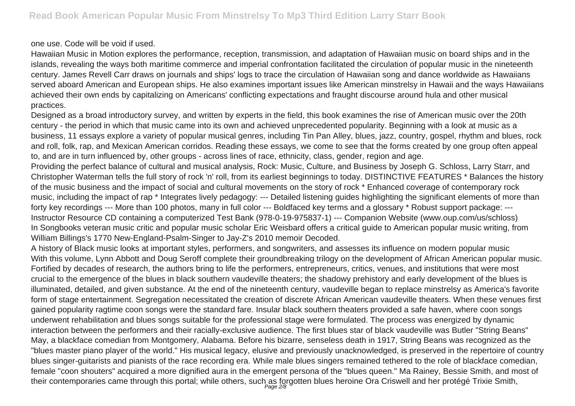## one use. Code will be void if used.

Hawaiian Music in Motion explores the performance, reception, transmission, and adaptation of Hawaiian music on board ships and in the islands, revealing the ways both maritime commerce and imperial confrontation facilitated the circulation of popular music in the nineteenth century. James Revell Carr draws on journals and ships' logs to trace the circulation of Hawaiian song and dance worldwide as Hawaiians served aboard American and European ships. He also examines important issues like American minstrelsy in Hawaii and the ways Hawaiians achieved their own ends by capitalizing on Americans' conflicting expectations and fraught discourse around hula and other musical practices.

Designed as a broad introductory survey, and written by experts in the field, this book examines the rise of American music over the 20th century - the period in which that music came into its own and achieved unprecedented popularity. Beginning with a look at music as a business, 11 essays explore a variety of popular musical genres, including Tin Pan Alley, blues, jazz, country, gospel, rhythm and blues, rock and roll, folk, rap, and Mexican American corridos. Reading these essays, we come to see that the forms created by one group often appeal to, and are in turn influenced by, other groups - across lines of race, ethnicity, class, gender, region and age.

Providing the perfect balance of cultural and musical analysis, Rock: Music, Culture, and Business by Joseph G. Schloss, Larry Starr, and Christopher Waterman tells the full story of rock 'n' roll, from its earliest beginnings to today. DISTINCTIVE FEATURES \* Balances the history of the music business and the impact of social and cultural movements on the story of rock \* Enhanced coverage of contemporary rock music, including the impact of rap \* Integrates lively pedagogy: --- Detailed listening guides highlighting the significant elements of more than forty key recordings --- More than 100 photos, many in full color --- Boldfaced key terms and a glossary \* Robust support package: --- Instructor Resource CD containing a computerized Test Bank (978-0-19-975837-1) --- Companion Website (www.oup.com/us/schloss) In Songbooks veteran music critic and popular music scholar Eric Weisbard offers a critical guide to American popular music writing, from William Billings's 1770 New-England-Psalm-Singer to Jay-Z's 2010 memoir Decoded.

A history of Black music looks at important styles, performers, and songwriters, and assesses its influence on modern popular music With this volume, Lynn Abbott and Doug Seroff complete their groundbreaking trilogy on the development of African American popular music. Fortified by decades of research, the authors bring to life the performers, entrepreneurs, critics, venues, and institutions that were most crucial to the emergence of the blues in black southern vaudeville theaters; the shadowy prehistory and early development of the blues is illuminated, detailed, and given substance. At the end of the nineteenth century, vaudeville began to replace minstrelsy as America's favorite form of stage entertainment. Segregation necessitated the creation of discrete African American vaudeville theaters. When these venues first gained popularity ragtime coon songs were the standard fare. Insular black southern theaters provided a safe haven, where coon songs underwent rehabilitation and blues songs suitable for the professional stage were formulated. The process was energized by dynamic interaction between the performers and their racially-exclusive audience. The first blues star of black vaudeville was Butler "String Beans" May, a blackface comedian from Montgomery, Alabama. Before his bizarre, senseless death in 1917, String Beans was recognized as the "blues master piano player of the world." His musical legacy, elusive and previously unacknowledged, is preserved in the repertoire of country blues singer-guitarists and pianists of the race recording era. While male blues singers remained tethered to the role of blackface comedian, female "coon shouters" acquired a more dignified aura in the emergent persona of the "blues queen." Ma Rainey, Bessie Smith, and most of their contemporaries came through this portal; while others, such as forgotten blues heroine Ora Criswell and her protégé Trixie Smith,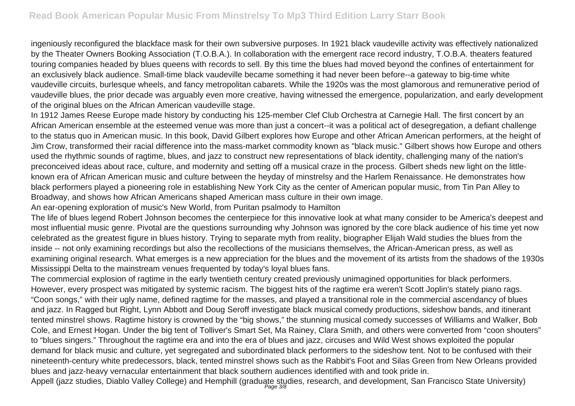ingeniously reconfigured the blackface mask for their own subversive purposes. In 1921 black vaudeville activity was effectively nationalized by the Theater Owners Booking Association (T.O.B.A.). In collaboration with the emergent race record industry, T.O.B.A. theaters featured touring companies headed by blues queens with records to sell. By this time the blues had moved beyond the confines of entertainment for an exclusively black audience. Small-time black vaudeville became something it had never been before--a gateway to big-time white vaudeville circuits, burlesque wheels, and fancy metropolitan cabarets. While the 1920s was the most glamorous and remunerative period of vaudeville blues, the prior decade was arguably even more creative, having witnessed the emergence, popularization, and early development of the original blues on the African American vaudeville stage.

In 1912 James Reese Europe made history by conducting his 125-member Clef Club Orchestra at Carnegie Hall. The first concert by an African American ensemble at the esteemed venue was more than just a concert--it was a political act of desegregation, a defiant challenge to the status quo in American music. In this book, David Gilbert explores how Europe and other African American performers, at the height of Jim Crow, transformed their racial difference into the mass-market commodity known as "black music." Gilbert shows how Europe and others used the rhythmic sounds of ragtime, blues, and jazz to construct new representations of black identity, challenging many of the nation's preconceived ideas about race, culture, and modernity and setting off a musical craze in the process. Gilbert sheds new light on the littleknown era of African American music and culture between the heyday of minstrelsy and the Harlem Renaissance. He demonstrates how black performers played a pioneering role in establishing New York City as the center of American popular music, from Tin Pan Alley to Broadway, and shows how African Americans shaped American mass culture in their own image.

An ear-opening exploration of music's New World, from Puritan psalmody to Hamilton

The life of blues legend Robert Johnson becomes the centerpiece for this innovative look at what many consider to be America's deepest and most influential music genre. Pivotal are the questions surrounding why Johnson was ignored by the core black audience of his time yet now celebrated as the greatest figure in blues history. Trying to separate myth from reality, biographer Elijah Wald studies the blues from the inside -- not only examining recordings but also the recollections of the musicians themselves, the African-American press, as well as examining original research. What emerges is a new appreciation for the blues and the movement of its artists from the shadows of the 1930s Mississippi Delta to the mainstream venues frequented by today's loyal blues fans.

The commercial explosion of ragtime in the early twentieth century created previously unimagined opportunities for black performers. However, every prospect was mitigated by systemic racism. The biggest hits of the ragtime era weren't Scott Joplin's stately piano rags. "Coon songs," with their ugly name, defined ragtime for the masses, and played a transitional role in the commercial ascendancy of blues and jazz. In Ragged but Right, Lynn Abbott and Doug Seroff investigate black musical comedy productions, sideshow bands, and itinerant tented minstrel shows. Ragtime history is crowned by the "big shows," the stunning musical comedy successes of Williams and Walker, Bob Cole, and Ernest Hogan. Under the big tent of Tolliver's Smart Set, Ma Rainey, Clara Smith, and others were converted from "coon shouters" to "blues singers." Throughout the ragtime era and into the era of blues and jazz, circuses and Wild West shows exploited the popular demand for black music and culture, yet segregated and subordinated black performers to the sideshow tent. Not to be confused with their nineteenth-century white predecessors, black, tented minstrel shows such as the Rabbit's Foot and Silas Green from New Orleans provided blues and jazz-heavy vernacular entertainment that black southern audiences identified with and took pride in.

Appell (jazz studies, Diablo Valley College) and Hemphill (graduate studies, research, and development, San Francisco State University)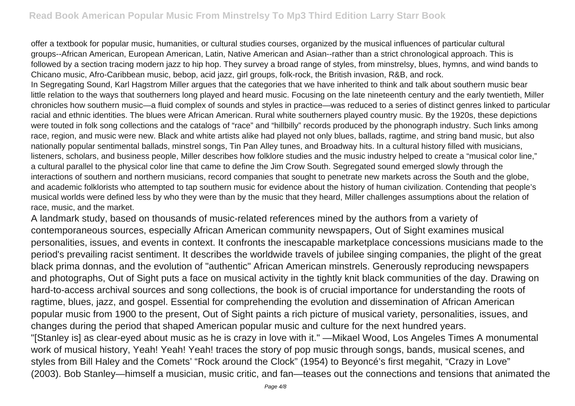offer a textbook for popular music, humanities, or cultural studies courses, organized by the musical influences of particular cultural groups--African American, European American, Latin, Native American and Asian--rather than a strict chronological approach. This is followed by a section tracing modern jazz to hip hop. They survey a broad range of styles, from minstrelsy, blues, hymns, and wind bands to Chicano music, Afro-Caribbean music, bebop, acid jazz, girl groups, folk-rock, the British invasion, R&B, and rock. In Segregating Sound, Karl Hagstrom Miller argues that the categories that we have inherited to think and talk about southern music bear little relation to the ways that southerners long played and heard music. Focusing on the late nineteenth century and the early twentieth, Miller chronicles how southern music—a fluid complex of sounds and styles in practice—was reduced to a series of distinct genres linked to particular racial and ethnic identities. The blues were African American. Rural white southerners played country music. By the 1920s, these depictions were touted in folk song collections and the catalogs of "race" and "hillbilly" records produced by the phonograph industry. Such links among race, region, and music were new. Black and white artists alike had played not only blues, ballads, ragtime, and string band music, but also nationally popular sentimental ballads, minstrel songs, Tin Pan Alley tunes, and Broadway hits. In a cultural history filled with musicians, listeners, scholars, and business people, Miller describes how folklore studies and the music industry helped to create a "musical color line," a cultural parallel to the physical color line that came to define the Jim Crow South. Segregated sound emerged slowly through the interactions of southern and northern musicians, record companies that sought to penetrate new markets across the South and the globe, and academic folklorists who attempted to tap southern music for evidence about the history of human civilization. Contending that people's musical worlds were defined less by who they were than by the music that they heard, Miller challenges assumptions about the relation of race, music, and the market.

A landmark study, based on thousands of music-related references mined by the authors from a variety of contemporaneous sources, especially African American community newspapers, Out of Sight examines musical personalities, issues, and events in context. It confronts the inescapable marketplace concessions musicians made to the period's prevailing racist sentiment. It describes the worldwide travels of jubilee singing companies, the plight of the great black prima donnas, and the evolution of "authentic" African American minstrels. Generously reproducing newspapers and photographs, Out of Sight puts a face on musical activity in the tightly knit black communities of the day. Drawing on hard-to-access archival sources and song collections, the book is of crucial importance for understanding the roots of ragtime, blues, jazz, and gospel. Essential for comprehending the evolution and dissemination of African American popular music from 1900 to the present, Out of Sight paints a rich picture of musical variety, personalities, issues, and changes during the period that shaped American popular music and culture for the next hundred years. "[Stanley is] as clear-eyed about music as he is crazy in love with it." —Mikael Wood, Los Angeles Times A monumental work of musical history, Yeah! Yeah! Yeah! traces the story of pop music through songs, bands, musical scenes, and styles from Bill Haley and the Comets' "Rock around the Clock" (1954) to Beyoncé's first megahit, "Crazy in Love" (2003). Bob Stanley—himself a musician, music critic, and fan—teases out the connections and tensions that animated the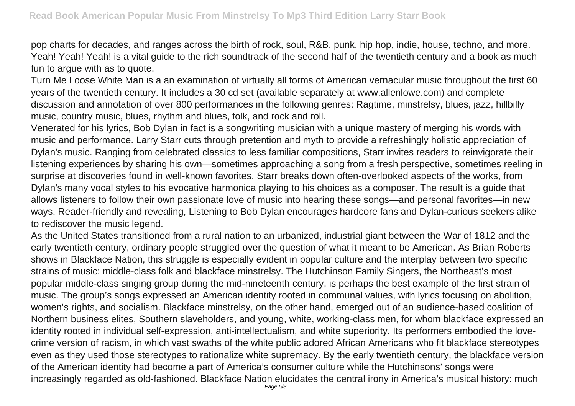pop charts for decades, and ranges across the birth of rock, soul, R&B, punk, hip hop, indie, house, techno, and more. Yeah! Yeah! Yeah! is a vital guide to the rich soundtrack of the second half of the twentieth century and a book as much fun to argue with as to quote.

Turn Me Loose White Man is a an examination of virtually all forms of American vernacular music throughout the first 60 years of the twentieth century. It includes a 30 cd set (available separately at www.allenlowe.com) and complete discussion and annotation of over 800 performances in the following genres: Ragtime, minstrelsy, blues, jazz, hillbilly music, country music, blues, rhythm and blues, folk, and rock and roll.

Venerated for his lyrics, Bob Dylan in fact is a songwriting musician with a unique mastery of merging his words with music and performance. Larry Starr cuts through pretention and myth to provide a refreshingly holistic appreciation of Dylan's music. Ranging from celebrated classics to less familiar compositions, Starr invites readers to reinvigorate their listening experiences by sharing his own—sometimes approaching a song from a fresh perspective, sometimes reeling in surprise at discoveries found in well-known favorites. Starr breaks down often-overlooked aspects of the works, from Dylan's many vocal styles to his evocative harmonica playing to his choices as a composer. The result is a guide that allows listeners to follow their own passionate love of music into hearing these songs—and personal favorites—in new ways. Reader-friendly and revealing, Listening to Bob Dylan encourages hardcore fans and Dylan-curious seekers alike to rediscover the music legend.

As the United States transitioned from a rural nation to an urbanized, industrial giant between the War of 1812 and the early twentieth century, ordinary people struggled over the question of what it meant to be American. As Brian Roberts shows in Blackface Nation, this struggle is especially evident in popular culture and the interplay between two specific strains of music: middle-class folk and blackface minstrelsy. The Hutchinson Family Singers, the Northeast's most popular middle-class singing group during the mid-nineteenth century, is perhaps the best example of the first strain of music. The group's songs expressed an American identity rooted in communal values, with lyrics focusing on abolition, women's rights, and socialism. Blackface minstrelsy, on the other hand, emerged out of an audience-based coalition of Northern business elites, Southern slaveholders, and young, white, working-class men, for whom blackface expressed an identity rooted in individual self-expression, anti-intellectualism, and white superiority. Its performers embodied the lovecrime version of racism, in which vast swaths of the white public adored African Americans who fit blackface stereotypes even as they used those stereotypes to rationalize white supremacy. By the early twentieth century, the blackface version of the American identity had become a part of America's consumer culture while the Hutchinsons' songs were increasingly regarded as old-fashioned. Blackface Nation elucidates the central irony in America's musical history: much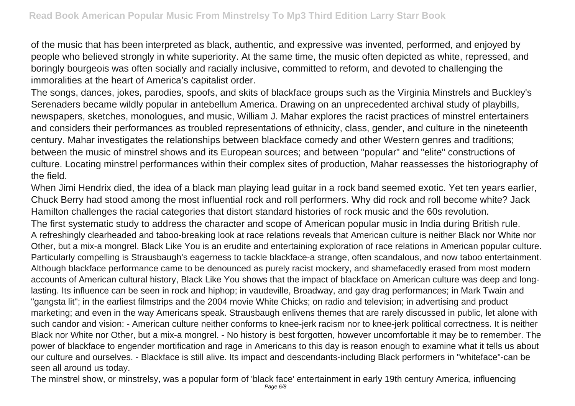of the music that has been interpreted as black, authentic, and expressive was invented, performed, and enjoyed by people who believed strongly in white superiority. At the same time, the music often depicted as white, repressed, and boringly bourgeois was often socially and racially inclusive, committed to reform, and devoted to challenging the immoralities at the heart of America's capitalist order.

The songs, dances, jokes, parodies, spoofs, and skits of blackface groups such as the Virginia Minstrels and Buckley's Serenaders became wildly popular in antebellum America. Drawing on an unprecedented archival study of playbills, newspapers, sketches, monologues, and music, William J. Mahar explores the racist practices of minstrel entertainers and considers their performances as troubled representations of ethnicity, class, gender, and culture in the nineteenth century. Mahar investigates the relationships between blackface comedy and other Western genres and traditions; between the music of minstrel shows and its European sources; and between "popular" and "elite" constructions of culture. Locating minstrel performances within their complex sites of production, Mahar reassesses the historiography of the field.

When Jimi Hendrix died, the idea of a black man playing lead guitar in a rock band seemed exotic. Yet ten years earlier, Chuck Berry had stood among the most influential rock and roll performers. Why did rock and roll become white? Jack Hamilton challenges the racial categories that distort standard histories of rock music and the 60s revolution. The first systematic study to address the character and scope of American popular music in India during British rule. A refreshingly clearheaded and taboo-breaking look at race relations reveals that American culture is neither Black nor White nor Other, but a mix-a mongrel. Black Like You is an erudite and entertaining exploration of race relations in American popular culture. Particularly compelling is Strausbaugh's eagerness to tackle blackface-a strange, often scandalous, and now taboo entertainment. Although blackface performance came to be denounced as purely racist mockery, and shamefacedly erased from most modern accounts of American cultural history, Black Like You shows that the impact of blackface on American culture was deep and longlasting. Its influence can be seen in rock and hiphop; in vaudeville, Broadway, and gay drag performances; in Mark Twain and "gangsta lit"; in the earliest filmstrips and the 2004 movie White Chicks; on radio and television; in advertising and product marketing; and even in the way Americans speak. Strausbaugh enlivens themes that are rarely discussed in public, let alone with such candor and vision: - American culture neither conforms to knee-jerk racism nor to knee-jerk political correctness. It is neither Black nor White nor Other, but a mix-a mongrel. - No history is best forgotten, however uncomfortable it may be to remember. The power of blackface to engender mortification and rage in Americans to this day is reason enough to examine what it tells us about our culture and ourselves. - Blackface is still alive. Its impact and descendants-including Black performers in "whiteface"-can be seen all around us today.

The minstrel show, or minstrelsy, was a popular form of 'black face' entertainment in early 19th century America, influencing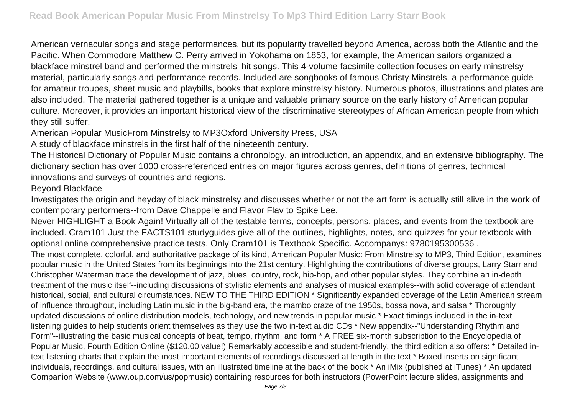American vernacular songs and stage performances, but its popularity travelled beyond America, across both the Atlantic and the Pacific. When Commodore Matthew C. Perry arrived in Yokohama on 1853, for example, the American sailors organized a blackface minstrel band and performed the minstrels' hit songs. This 4-volume facsimile collection focuses on early minstrelsy material, particularly songs and performance records. Included are songbooks of famous Christy Minstrels, a performance guide for amateur troupes, sheet music and playbills, books that explore minstrelsy history. Numerous photos, illustrations and plates are also included. The material gathered together is a unique and valuable primary source on the early history of American popular culture. Moreover, it provides an important historical view of the discriminative stereotypes of African American people from which they still suffer.

American Popular MusicFrom Minstrelsy to MP3Oxford University Press, USA

A study of blackface minstrels in the first half of the nineteenth century.

The Historical Dictionary of Popular Music contains a chronology, an introduction, an appendix, and an extensive bibliography. The dictionary section has over 1000 cross-referenced entries on major figures across genres, definitions of genres, technical innovations and surveys of countries and regions.

## Beyond Blackface

Investigates the origin and heyday of black minstrelsy and discusses whether or not the art form is actually still alive in the work of contemporary performers--from Dave Chappelle and Flavor Flav to Spike Lee.

Never HIGHLIGHT a Book Again! Virtually all of the testable terms, concepts, persons, places, and events from the textbook are included. Cram101 Just the FACTS101 studyguides give all of the outlines, highlights, notes, and quizzes for your textbook with optional online comprehensive practice tests. Only Cram101 is Textbook Specific. Accompanys: 9780195300536 .

The most complete, colorful, and authoritative package of its kind, American Popular Music: From Minstrelsy to MP3, Third Edition, examines popular music in the United States from its beginnings into the 21st century. Highlighting the contributions of diverse groups, Larry Starr and Christopher Waterman trace the development of jazz, blues, country, rock, hip-hop, and other popular styles. They combine an in-depth treatment of the music itself--including discussions of stylistic elements and analyses of musical examples--with solid coverage of attendant historical, social, and cultural circumstances. NEW TO THE THIRD EDITION \* Significantly expanded coverage of the Latin American stream of influence throughout, including Latin music in the big-band era, the mambo craze of the 1950s, bossa nova, and salsa \* Thoroughly updated discussions of online distribution models, technology, and new trends in popular music \* Exact timings included in the in-text listening guides to help students orient themselves as they use the two in-text audio CDs \* New appendix--"Understanding Rhythm and Form"--illustrating the basic musical concepts of beat, tempo, rhythm, and form \* A FREE six-month subscription to the Encyclopedia of Popular Music, Fourth Edition Online (\$120.00 value!) Remarkably accessible and student-friendly, the third edition also offers: \* Detailed intext listening charts that explain the most important elements of recordings discussed at length in the text \* Boxed inserts on significant individuals, recordings, and cultural issues, with an illustrated timeline at the back of the book \* An iMix (published at iTunes) \* An updated Companion Website (www.oup.com/us/popmusic) containing resources for both instructors (PowerPoint lecture slides, assignments and